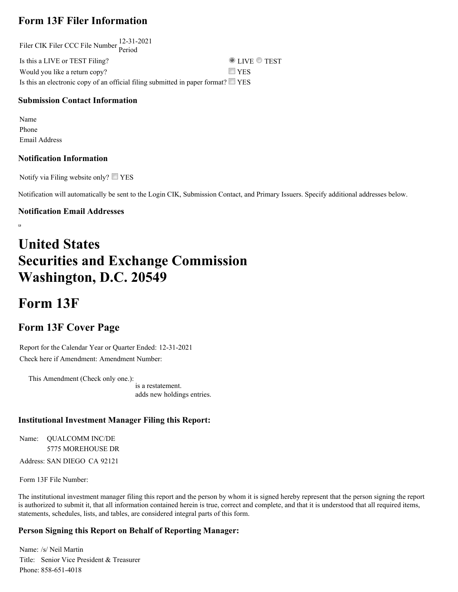## **Form 13F Filer Information**

Filer CIK Filer CCC File Number 12-31-2021 Period Is this a LIVE or TEST Filing?  $\bullet$  LIVE  $\bullet$  TEST Would you like a return copy?  $\Box$  YES Is this an electronic copy of an official filing submitted in paper format?  $\square$  YES

#### **Submission Contact Information**

Name Phone Email Address

#### **Notification Information**

Notify via Filing website only?  $\Box$  YES

Notification will automatically be sent to the Login CIK, Submission Contact, and Primary Issuers. Specify additional addresses below.

#### **Notification Email Addresses**

 $\overline{a}$ 

## **United States Securities and Exchange Commission Washington, D.C. 20549**

## **Form 13F**

## **Form 13F Cover Page**

Report for the Calendar Year or Quarter Ended: 12-31-2021 Check here if Amendment: Amendment Number:

This Amendment (Check only one.): is a restatement. adds new holdings entries.

#### **Institutional Investment Manager Filing this Report:**

Name: QUALCOMM INC/DE 5775 MOREHOUSE DR

Address: SAN DIEGO CA 92121

Form 13F File Number:

The institutional investment manager filing this report and the person by whom it is signed hereby represent that the person signing the report is authorized to submit it, that all information contained herein is true, correct and complete, and that it is understood that all required items, statements, schedules, lists, and tables, are considered integral parts of this form.

#### **Person Signing this Report on Behalf of Reporting Manager:**

Name: /s/ Neil Martin Title: Senior Vice President & Treasurer Phone: 858-651-4018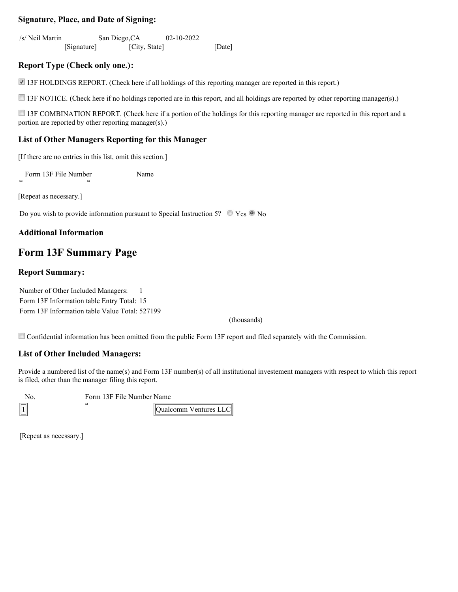#### **Signature, Place, and Date of Signing:**

/s/ Neil Martin [Signature] San Diego,CA [City, State] 02-10-2022 [Date]

#### **Report Type (Check only one.):**

13F HOLDINGS REPORT. (Check here if all holdings of this reporting manager are reported in this report.)

13F NOTICE. (Check here if no holdings reported are in this report, and all holdings are reported by other reporting manager(s).)

13F COMBINATION REPORT. (Check here if a portion of the holdings for this reporting manager are reported in this report and a portion are reported by other reporting manager(s).)

#### **List of Other Managers Reporting for this Manager**

[If there are no entries in this list, omit this section.]

Form 13F File Number Name

[Repeat as necessary.]

Do you wish to provide information pursuant to Special Instruction 5?  $\circ$  Yes  $\circ$  No

#### **Additional Information**

### **Form 13F Summary Page**

#### **Report Summary:**

Number of Other Included Managers: 1 Form 13F Information table Entry Total: 15 Form 13F Information table Value Total: 527199

(thousands)

Confidential information has been omitted from the public Form 13F report and filed separately with the Commission.

#### **List of Other Included Managers:**

Provide a numbered list of the name(s) and Form 13F number(s) of all institutional investement managers with respect to which this report is filed, other than the manager filing this report.

o. Form 13F File Number Name

Qualcomm Ventures LLC

[Repeat as necessary.]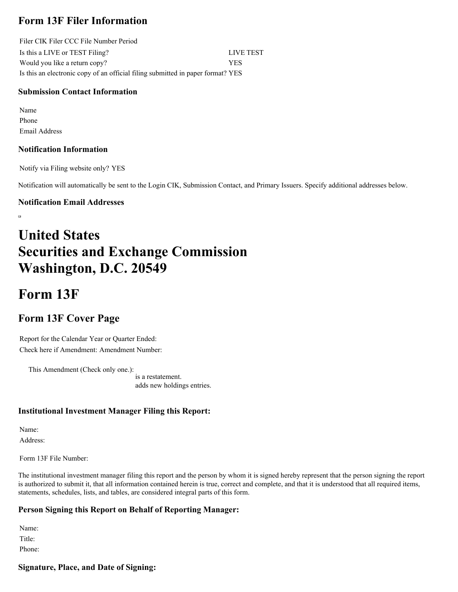## **Form 13F Filer Information**

Filer CIK Filer CCC File Number Period Is this a LIVE or TEST Filing? LIVE TEST Would you like a return copy? YES Is this an electronic copy of an official filing submitted in paper format? YES

#### **Submission Contact Information**

Name Phone Email Address

#### **Notification Information**

Notify via Filing website only? YES

Notification will automatically be sent to the Login CIK, Submission Contact, and Primary Issuers. Specify additional addresses below.

#### **Notification Email Addresses**

# **United States Securities and Exchange Commission Washington, D.C. 20549**

## **Form 13F**

## **Form 13F Cover Page**

Report for the Calendar Year or Quarter Ended: Check here if Amendment: Amendment Number:

This Amendment (Check only one.): is a restatement. adds new holdings entries.

#### **Institutional Investment Manager Filing this Report:**

Name: Address:

Form 13F File Number:

The institutional investment manager filing this report and the person by whom it is signed hereby represent that the person signing the report is authorized to submit it, that all information contained herein is true, correct and complete, and that it is understood that all required items, statements, schedules, lists, and tables, are considered integral parts of this form.

#### **Person Signing this Report on Behalf of Reporting Manager:**

Name: Title: Phone:

#### **Signature, Place, and Date of Signing:**